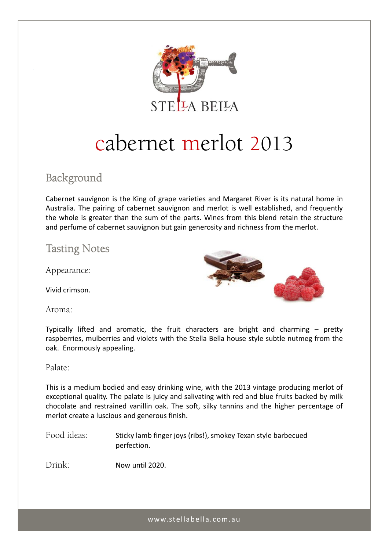

# cabernet merlot 2013

## Background

Cabernet sauvignon is the King of grape varieties and Margaret River is its natural home in Australia. The pairing of cabernet sauvignon and merlot is well established, and frequently the whole is greater than the sum of the parts. Wines from this blend retain the structure and perfume of cabernet sauvignon but gain generosity and richness from the merlot.

### Tasting Notes

Appearance:

Vivid crimson.

Aroma:



Typically lifted and aromatic, the fruit characters are bright and charming – pretty raspberries, mulberries and violets with the Stella Bella house style subtle nutmeg from the oak. Enormously appealing.

Palate:

This is a medium bodied and easy drinking wine, with the 2013 vintage producing merlot of exceptional quality. The palate is juicy and salivating with red and blue fruits backed by milk chocolate and restrained vanillin oak. The soft, silky tannins and the higher percentage of merlot create a luscious and generous finish.

Food ideas: Sticky lamb finger joys (ribs!), smokey Texan style barbecued perfection.

Drink: Now until 2020.